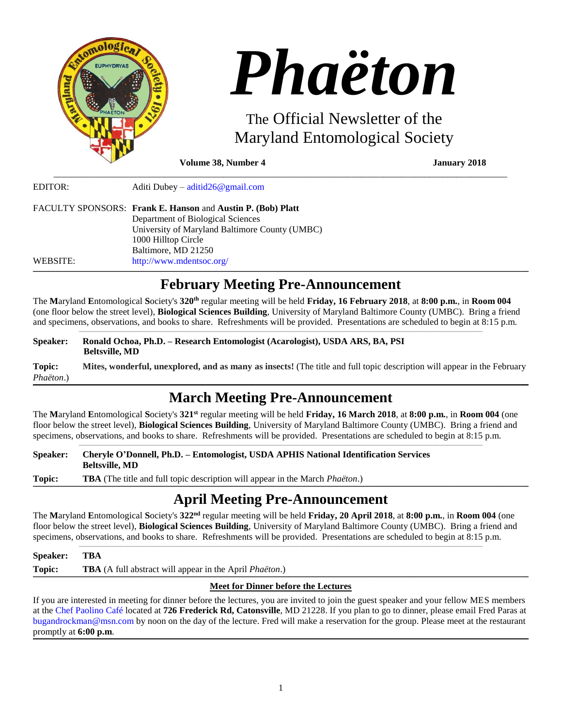

|          | FACULTY SPONSORS: Frank E. Hanson and Austin P. (Bob) Platt |
|----------|-------------------------------------------------------------|
|          | Department of Biological Sciences                           |
|          | University of Maryland Baltimore County (UMBC)              |
|          | 1000 Hilltop Circle                                         |
|          | Baltimore, MD 21250                                         |
| WEBSITE: | http://www.mdentsoc.org/                                    |

# **\_\_\_\_\_\_\_\_\_\_\_\_\_\_\_\_\_\_\_\_\_\_\_\_\_\_\_\_\_\_\_\_\_\_\_\_\_\_\_\_\_\_\_\_\_\_\_\_\_\_\_\_\_\_\_\_\_\_\_\_\_\_\_\_\_\_\_\_\_\_\_\_\_\_\_\_\_\_\_\_\_\_\_\_\_\_\_\_\_\_\_\_\_\_\_\_\_\_\_\_\_\_\_\_\_\_\_\_\_\_\_\_\_\_\_\_\_\_\_\_\_\_\_\_\_\_\_\_\_\_\_\_\_\_\_\_\_\_\_\_\_\_\_\_\_\_\_\_\_\_\_\_\_\_\_\_\_\_\_\_\_\_\_\_\_\_\_\_\_\_\_\_\_\_\_\_\_\_\_\_\_\_\_\_\_\_\_\_\_\_\_\_\_\_\_\_\_\_\_\_\_\_\_\_\_\_\_\_\_\_\_\_\_\_\_\_\_\_\_\_\_\_\_\_\_\_\_\_\_\_\_\_\_\_\_\_\_\_\_\_\_\_\_\_\_\_\_\_\_\_\_\_\_\_\_\_\_\_\_\_\_\_\_\_\_\_\_\_\_\_\_\_\_\_\_\_\_\_\_\_\_\_\_\_\_\_\_\_\_\_\_\_\_\_\_\_\_\_\_\_\_\_\_\_\_\_\_\_\_\_\_\_\_\_\_\_\_\_\_\_\_\_\_\_\_\_\_\_\_\_\_\_\_\_\_\_\_\_\_\_\_\_\_\_\_\_\_\_\_\_\_\_\_\_\_\_\_\_\_\_ February Meeting Pre-Announcement**

The **M**aryland **E**ntomological **S**ociety's **320 th** regular meeting will be held **Friday, 16 February 2018**, at **8:00 p.m.**, in **Room 004** (one floor below the street level), **Biological Sciences Building**, University of Maryland Baltimore County (UMBC). Bring a friend and specimens, observations, and books to share. Refreshments will be provided. Presentations are scheduled to begin at 8:15 p.m. \_\_\_\_\_\_\_\_\_\_\_\_\_\_\_\_\_\_\_\_\_\_\_\_\_\_\_\_\_\_\_\_\_\_\_\_\_\_\_\_\_\_\_\_\_\_\_\_\_\_\_\_\_\_\_\_\_\_\_\_\_\_\_\_\_\_\_\_\_\_\_\_\_\_\_\_\_\_\_\_\_\_\_\_\_\_\_\_\_\_\_\_\_\_\_\_\_\_\_\_\_\_\_\_\_\_\_\_\_\_\_\_\_\_\_\_\_\_\_\_\_\_\_\_\_\_\_\_\_\_\_\_\_\_\_\_\_\_\_\_\_\_\_\_\_\_\_\_\_\_\_\_\_\_\_\_\_\_\_\_\_\_\_\_\_\_\_\_\_\_\_\_\_\_\_\_

# **Speaker: Ronald Ochoa, Ph.D. – Research Entomologist (Acarologist), USDA ARS, BA, PSI Beltsville, MD**

**Topic: Mites, wonderful, unexplored, and as many as insects!** (The title and full topic description will appear in the February *Phaëton*.) **\_\_\_\_\_\_\_\_\_\_\_\_\_\_\_\_\_\_\_\_\_\_\_\_\_\_\_\_\_\_\_\_\_\_\_\_\_\_\_\_\_\_\_\_\_\_\_\_\_\_\_\_\_\_\_\_\_\_\_\_\_\_\_\_\_\_\_\_\_\_\_\_\_\_\_\_\_\_\_\_\_\_\_\_\_\_\_\_\_\_\_\_\_\_\_\_\_\_\_\_\_\_\_\_\_\_\_\_\_\_\_\_\_\_\_\_\_\_\_\_\_\_\_\_\_\_\_\_\_\_\_\_\_\_\_\_\_\_\_\_\_\_\_\_\_\_\_\_\_\_\_\_\_\_\_\_\_\_\_\_\_\_\_\_\_\_\_\_\_\_\_\_\_\_\_\_\_\_\_\_\_\_\_\_\_\_\_\_\_\_\_\_\_\_\_\_\_\_\_\_\_\_\_\_\_\_\_\_\_\_\_\_\_\_\_\_\_\_\_\_\_\_\_\_\_\_\_\_\_\_\_\_\_\_\_\_\_\_\_\_\_\_\_\_\_\_\_\_\_\_\_\_\_\_\_\_\_\_\_\_\_\_\_\_\_\_\_\_\_\_\_\_\_\_\_\_\_\_\_\_\_\_\_\_\_\_\_\_\_\_\_\_\_\_\_\_\_\_\_\_\_\_\_\_\_\_\_\_\_\_\_\_\_\_\_\_\_\_\_\_\_\_\_\_\_\_\_\_\_\_\_\_\_\_\_\_\_\_\_\_\_\_\_\_\_\_\_\_\_\_\_\_\_\_\_\_\_\_\_\_**

# **March Meeting Pre-Announcement**

The **M**aryland **E**ntomological **S**ociety's **321 st** regular meeting will be held **Friday, 16 March 2018**, at **8:00 p.m.**, in **Room 004** (one floor below the street level), **Biological Sciences Building**, University of Maryland Baltimore County (UMBC). Bring a friend and specimens, observations, and books to share. Refreshments will be provided. Presentations are scheduled to begin at 8:15 p.m. \_\_\_\_\_\_\_\_\_\_\_\_\_\_\_\_\_\_\_\_\_\_\_\_\_\_\_\_\_\_\_\_\_\_\_\_\_\_\_\_\_\_\_\_\_\_\_\_\_\_\_\_\_\_\_\_\_\_\_\_\_\_\_\_\_\_\_\_\_\_\_\_\_\_\_\_\_\_\_\_\_\_\_\_\_\_\_\_\_\_\_\_\_\_\_\_\_\_\_\_\_\_\_\_\_\_\_\_\_\_\_\_\_\_\_\_\_\_\_\_\_\_\_\_\_\_\_\_\_\_\_\_\_\_\_\_\_\_\_\_\_\_\_\_\_\_\_\_\_\_\_\_\_\_\_\_\_\_\_\_\_\_\_\_\_\_\_\_\_\_\_\_\_\_\_\_

# **Speaker: Cheryle O'Donnell, Ph.D. – Entomologist, USDA APHIS National Identification Services Beltsville, MD**

**Topic: TBA** (The title and full topic description will appear in the March *Phaëton*.) ,一个人都是一个人的事情,我们就是一个人的事情。""我们,我们就是我们的事情。""我们,我们就是我们的事情,我们就是我们的事情。""我们的事情,我们就是我们的事

# **April Meeting Pre-Announcement**

The **M**aryland **E**ntomological **S**ociety's **322 nd** regular meeting will be held **Friday, 20 April 2018**, at **8:00 p.m.**, in **Room 004** (one floor below the street level), **Biological Sciences Building**, University of Maryland Baltimore County (UMBC). Bring a friend and specimens, observations, and books to share. Refreshments will be provided. Presentations are scheduled to begin at 8:15 p.m. \_\_\_\_\_\_\_\_\_\_\_\_\_\_\_\_\_\_\_\_\_\_\_\_\_\_\_\_\_\_\_\_\_\_\_\_\_\_\_\_\_\_\_\_\_\_\_\_\_\_\_\_\_\_\_\_\_\_\_\_\_\_\_\_\_\_\_\_\_\_\_\_\_\_\_\_\_\_\_\_\_\_\_\_\_\_\_\_\_\_\_\_\_\_\_\_\_\_\_\_\_\_\_\_\_\_\_\_\_\_\_\_\_\_\_\_\_\_\_\_\_\_\_\_\_\_\_\_\_\_\_\_\_\_\_\_\_\_\_\_\_\_\_\_\_\_\_\_\_\_\_\_\_\_\_\_\_\_\_\_\_\_\_\_\_\_\_\_\_\_\_\_\_\_\_\_

#### **Speaker: TBA Topic: TBA** (A full abstract will appear in the April *Phaëton*.) **\_\_\_\_\_\_\_\_\_\_\_\_\_\_\_\_\_\_\_\_\_\_\_\_\_\_\_\_\_\_\_\_\_\_\_\_\_\_\_\_\_\_\_\_\_\_\_\_\_\_\_\_\_\_\_\_\_\_\_\_\_\_\_\_\_\_\_\_\_\_\_\_\_\_\_\_\_\_\_\_\_\_\_\_\_\_\_\_\_\_\_\_\_\_\_\_\_\_\_\_\_\_\_\_\_\_\_\_\_\_\_\_\_\_\_\_\_\_\_\_\_\_\_\_\_\_\_\_\_\_\_\_\_\_\_\_\_\_\_\_\_\_\_\_\_\_\_\_\_\_\_\_\_\_\_\_\_\_\_\_\_\_\_\_\_\_\_\_\_\_\_\_\_\_\_\_\_\_\_\_\_\_\_\_\_\_\_\_\_\_\_\_\_\_\_\_\_\_\_\_\_\_\_\_\_\_\_\_\_\_\_\_\_\_\_\_\_\_\_\_\_\_\_\_\_\_\_\_\_\_\_\_\_\_\_\_\_\_\_\_\_\_\_\_\_\_\_\_\_\_\_\_\_\_\_\_\_\_\_\_\_\_\_\_\_\_\_\_\_\_\_\_\_\_\_\_\_\_\_\_\_\_\_\_\_\_\_\_\_\_\_\_\_\_\_\_\_\_\_\_\_\_\_\_\_\_\_\_\_\_\_\_\_\_\_\_\_\_\_\_\_\_\_\_\_\_\_\_\_\_\_\_\_\_\_\_\_\_\_\_\_\_\_\_\_\_\_\_\_\_\_\_\_\_\_\_\_\_\_\_**

# **Meet for Dinner before the Lectures**

If you are interested in meeting for dinner before the lectures, you are invited to join the guest speaker and your fellow MES members at the [Chef Paolino Café](https://www.google.com/maps/place/Chef+Paolino+Cafe/@39.2727924,-76.7320191,15z/data=!4m5!3m4!1s0x0:0x5b7140dd2ad4f543!8m2!3d39.2727924!4d-76.7320191) located at **726 Frederick Rd, Catonsville**, MD 21228. If you plan to go to dinner, please email Fred Paras at [bugandrockman@msn.com](file:///C:/Users/Hanna/Downloads/bugandrockman@msn.com) by noon on the day of the lecture. Fred will make a reservation for the group. Please meet at the restaurant promptly at **6:00 p.m**. **\_\_\_\_\_\_\_\_\_\_\_\_\_\_\_\_\_\_\_\_\_\_\_\_\_\_\_\_\_\_\_\_\_\_\_\_\_\_\_\_\_\_\_\_\_\_\_\_\_\_\_\_\_\_\_\_\_\_\_\_\_\_\_\_\_\_\_\_\_\_\_\_\_\_\_\_\_\_\_\_\_\_\_\_\_\_\_\_\_\_\_\_\_\_\_\_\_\_\_\_\_\_\_\_\_\_\_\_\_\_\_\_\_\_\_\_\_\_\_\_\_\_\_\_\_\_\_\_\_\_\_\_\_\_\_\_\_\_\_\_\_\_\_\_\_\_\_\_\_\_\_\_\_\_\_\_\_\_\_\_\_\_\_\_\_\_\_\_\_\_\_\_\_\_\_\_\_\_\_\_\_\_\_\_\_\_\_\_\_\_\_\_\_\_\_\_\_\_\_\_\_\_\_\_\_\_\_\_\_\_\_\_\_\_\_\_\_\_\_\_\_\_\_\_\_\_\_\_\_\_\_\_\_\_\_\_\_\_\_\_\_\_\_\_\_\_\_\_\_\_\_\_\_\_\_\_\_\_\_\_\_\_\_\_\_\_\_\_\_\_\_\_\_\_\_\_\_\_\_\_\_\_\_\_\_\_\_\_\_\_\_\_\_\_\_\_\_\_\_\_\_\_\_\_\_\_\_\_\_\_\_\_\_\_\_\_\_\_\_\_\_\_\_\_\_\_\_\_\_\_\_\_\_\_\_\_\_\_\_\_\_\_\_\_\_\_\_\_\_\_\_\_\_\_\_\_\_\_\_\_**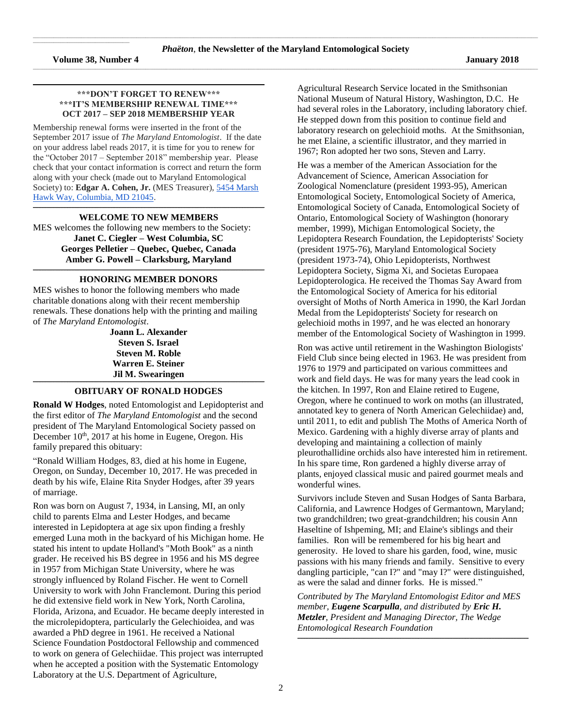$\mathcal{L}_\text{max}$  and  $\mathcal{L}_\text{max}$  and  $\mathcal{L}_\text{max}$  and  $\mathcal{L}_\text{max}$  and  $\mathcal{L}_\text{max}$ 

#### **\*\*\*DON'T FORGET TO RENEW\*\*\* \*\*\*IT'S MEMBERSHIP RENEWAL TIME\*\*\* OCT 2017 – SEP 2018 MEMBERSHIP YEAR**

**\_\_\_\_\_\_\_\_\_\_\_\_\_\_\_\_\_\_\_\_\_\_\_\_\_\_\_\_\_\_\_\_\_\_\_\_\_\_\_\_\_\_\_\_\_\_\_\_\_\_\_\_\_\_\_\_\_\_\_\_\_\_\_\_\_\_\_\_\_\_\_\_\_\_\_\_\_\_\_\_\_\_\_\_\_\_\_\_\_\_\_\_\_\_\_\_\_\_\_\_\_\_\_\_\_\_\_\_\_\_\_\_\_\_\_\_\_\_\_\_\_\_\_\_\_\_\_\_\_\_\_\_\_\_\_\_\_\_\_\_\_\_\_\_\_\_\_\_\_\_\_\_\_\_\_\_\_\_\_\_\_\_\_\_\_\_\_\_**

Membership renewal forms were inserted in the front of the September 2017 issue of *The Maryland Entomologist*. If the date on your address label reads 2017, it is time for you to renew for the "October 2017 – September 2018" membership year. Please check that your contact information is correct and return the form along with your check (made out to Maryland Entomological Society) to: **Edgar A. Cohen, Jr.** (MES Treasurer), [5454 Marsh](https://maps.google.com/?q=5454+Marsh+Hawk+Way,+Columbia,+MD+21045&entry=gmail&source=g)  [Hawk Way, Columbia, MD 21045.](https://maps.google.com/?q=5454+Marsh+Hawk+Way,+Columbia,+MD+21045&entry=gmail&source=g)

#### **\_\_\_\_\_\_\_\_\_\_\_\_\_\_\_\_\_\_\_\_\_\_\_\_\_\_\_\_\_\_\_\_\_\_\_\_\_\_\_\_\_\_\_\_\_\_\_\_\_\_\_\_\_\_\_\_\_\_\_\_\_\_\_\_\_\_\_\_\_\_\_\_\_\_\_\_\_\_\_\_\_\_\_\_\_\_\_\_\_\_\_\_\_\_\_\_\_\_\_\_\_\_\_\_\_\_\_\_\_\_\_\_\_\_\_\_\_\_\_\_\_\_\_\_\_\_\_\_\_\_\_\_\_\_\_\_\_\_\_\_\_\_\_\_\_\_\_\_\_\_\_\_\_\_\_\_\_\_\_\_\_\_\_\_\_\_\_\_ WELCOME TO NEW MEMBERS**

MES welcomes the following new members to the Society: **Janet C. Ciegler – West Columbia, SC Georges Pelletier – Quebec, Quebec, Canada Amber G. Powell – Clarksburg, Maryland**

#### **\_\_\_\_\_\_\_\_\_\_\_\_\_\_\_\_\_\_\_\_\_\_\_\_\_\_\_\_\_\_\_\_\_\_\_\_\_\_\_\_\_\_\_\_\_\_\_\_\_\_\_\_\_\_\_\_\_\_\_\_\_\_\_\_\_\_\_\_\_\_\_\_\_\_\_\_\_\_\_\_\_\_\_\_\_\_\_\_\_\_\_\_\_\_\_\_\_\_\_\_\_\_\_\_\_\_\_\_\_\_\_\_\_\_\_\_\_\_\_\_\_\_\_\_\_\_\_\_\_\_\_\_\_\_\_\_\_\_\_\_\_\_\_\_\_\_\_\_\_\_\_\_\_\_\_\_\_\_\_\_\_\_\_\_\_\_\_\_ HONORING MEMBER DONORS**

MES wishes to honor the following members who made charitable donations along with their recent membership renewals. These donations help with the printing and mailing of *The Maryland Entomologist*.

> **Joann L. Alexander Steven S. Israel Steven M. Roble Warren E. Steiner Jil M. Swearingen**

#### **\_\_\_\_\_\_\_\_\_\_\_\_\_\_\_\_\_\_\_\_\_\_\_\_\_\_\_\_\_\_\_\_\_\_\_\_\_\_\_\_\_\_\_\_\_\_\_\_\_\_\_\_\_\_\_\_\_\_\_\_\_\_\_\_\_\_\_\_\_\_\_\_\_\_\_\_\_\_\_\_\_\_\_\_\_\_\_\_\_\_\_\_\_\_\_\_\_\_\_\_\_\_\_\_\_\_\_\_\_\_\_\_\_\_\_\_\_\_\_\_\_\_\_\_\_\_\_\_\_\_\_\_\_\_\_\_\_\_\_\_\_\_\_\_\_\_\_\_\_\_\_\_\_\_\_\_\_\_\_\_\_\_\_\_\_\_\_\_ OBITUARY OF RONALD HODGES**

**Ronald W Hodges**, noted Entomologist and Lepidopterist and the first editor of *The Maryland Entomologist* and the second president of The Maryland Entomological Society passed on December 10<sup>th</sup>, 2017 at his home in Eugene, Oregon. His family prepared this obituary:

"Ronald William Hodges, 83, died at his home in Eugene, Oregon, on Sunday, December 10, 2017. He was preceded in death by his wife, Elaine Rita Snyder Hodges, after 39 years of marriage.

Ron was born on August 7, 1934, in Lansing, MI, an only child to parents Elma and Lester Hodges, and became interested in Lepidoptera at age six upon finding a freshly emerged Luna moth in the backyard of his Michigan home. He stated his intent to update Holland's "Moth Book" as a ninth grader. He received his BS degree in 1956 and his MS degree in 1957 from Michigan State University, where he was strongly influenced by Roland Fischer. He went to Cornell University to work with John Franclemont. During this period he did extensive field work in New York, North Carolina, Florida, Arizona, and Ecuador. He became deeply interested in the microlepidoptera, particularly the Gelechioidea, and was awarded a PhD degree in 1961. He received a National Science Foundation Postdoctoral Fellowship and commenced to work on genera of Gelechiidae. This project was interrupted when he accepted a position with the Systematic Entomology Laboratory at the U.S. Department of Agriculture,

Agricultural Research Service located in the Smithsonian National Museum of Natural History, Washington, D.C. He had several roles in the Laboratory, including laboratory chief. He stepped down from this position to continue field and laboratory research on gelechioid moths. At the Smithsonian, he met Elaine, a scientific illustrator, and they married in 1967; Ron adopted her two sons, Steven and Larry.

He was a member of the American Association for the Advancement of Science, American Association for Zoological Nomenclature (president 1993-95), American Entomological Society, Entomological Society of America, Entomological Society of Canada, Entomological Society of Ontario, Entomological Society of Washington (honorary member, 1999), Michigan Entomological Society, the Lepidoptera Research Foundation, the Lepidopterists' Society (president 1975-76), Maryland Entomological Society (president 1973-74), Ohio Lepidopterists, Northwest Lepidoptera Society, Sigma Xi, and Societas Europaea Lepidopterologica. He received the Thomas Say Award from the Entomological Society of America for his editorial oversight of Moths of North America in 1990, the Karl Jordan Medal from the Lepidopterists' Society for research on gelechioid moths in 1997, and he was elected an honorary member of the Entomological Society of Washington in 1999.

Ron was active until retirement in the Washington Biologists' Field Club since being elected in 1963. He was president from 1976 to 1979 and participated on various committees and work and field days. He was for many years the lead cook in the kitchen. In 1997, Ron and Elaine retired to Eugene, Oregon, where he continued to work on moths (an illustrated, annotated key to genera of North American Gelechiidae) and, until 2011, to edit and publish The Moths of America North of Mexico. Gardening with a highly diverse array of plants and developing and maintaining a collection of mainly pleurothallidine orchids also have interested him in retirement. In his spare time, Ron gardened a highly diverse array of plants, enjoyed classical music and paired gourmet meals and wonderful wines.

Survivors include Steven and Susan Hodges of Santa Barbara, California, and Lawrence Hodges of Germantown, Maryland; two grandchildren; two great-grandchildren; his cousin Ann Haseltine of Ishpeming, MI; and Elaine's siblings and their families. Ron will be remembered for his big heart and generosity. He loved to share his garden, food, wine, music passions with his many friends and family. Sensitive to every dangling participle, "can I?" and "may I?" were distinguished, as were the salad and dinner forks. He is missed."

*Contributed by The Maryland Entomologist Editor and MES member, Eugene Scarpulla, and distributed by Eric H. Metzler, President and Managing Director, The Wedge Entomological Research Foundation*

**\_\_\_\_\_\_\_\_\_\_\_\_\_\_\_\_\_\_\_\_\_\_\_\_\_\_\_\_\_\_\_\_\_\_\_\_\_\_\_\_\_\_\_\_\_\_\_\_\_\_\_\_\_\_\_\_\_\_\_\_\_\_\_\_\_\_\_\_\_\_\_\_\_\_\_\_\_\_\_\_\_\_\_\_\_\_\_\_\_\_\_\_\_\_\_\_\_\_\_\_\_\_\_\_\_\_\_\_\_\_\_\_\_\_\_\_\_\_\_\_\_\_\_\_\_\_\_\_\_\_\_\_\_\_\_\_\_\_\_\_\_\_\_\_\_\_\_\_\_\_\_\_\_\_\_\_\_\_\_\_\_\_\_\_\_\_\_\_**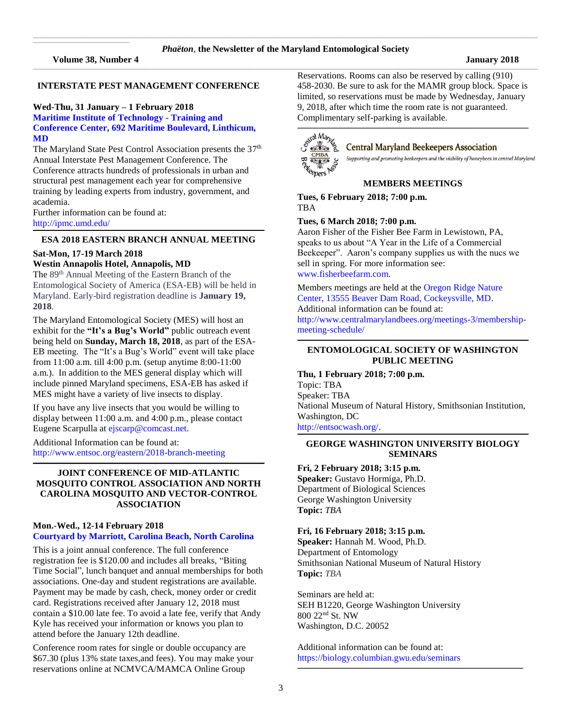**Volume 38, Number 4 January 2018**

 $\mathcal{L}_\text{max}$  and  $\mathcal{L}_\text{max}$  and  $\mathcal{L}_\text{max}$  and  $\mathcal{L}_\text{max}$  and  $\mathcal{L}_\text{max}$ 

# **INTERSTATE PEST MANAGEMENT CONFERENCE**

# **Wed-Thu, 31 January – 1 February 2018**

#### **Maritime Institute of Technology - Training and Conference Center, 692 Maritime Boulevard, Linthicum, MD**

The Maryland State Pest Control Association presents the 37<sup>th</sup> Annual Interstate Pest Management Conference. The Conference attracts hundreds of professionals in urban and structural pest management each year for comprehensive training by leading experts from industry, government, and academia.

Further information can be found at: <http://ipmc.umd.edu/> **\_\_\_\_\_\_\_\_\_\_\_\_\_\_\_\_\_\_\_\_\_\_\_\_\_\_\_\_\_\_\_\_\_\_\_\_\_\_\_\_\_\_\_\_\_\_\_\_\_\_\_\_\_\_\_\_\_\_\_\_\_\_\_\_\_\_\_\_\_\_\_\_\_\_\_\_\_\_\_\_\_\_\_\_\_\_\_\_\_\_\_\_\_\_\_\_\_\_\_\_\_\_\_\_\_\_\_\_\_\_\_\_\_\_\_\_\_\_\_\_\_\_\_\_\_\_\_\_\_\_\_\_\_\_\_\_\_\_\_\_\_\_\_\_\_\_\_\_\_\_\_\_\_\_\_\_\_\_\_\_\_\_\_\_\_\_\_\_**

#### **ESA 2018 EASTERN BRANCH ANNUAL MEETING**

#### **Sat-Mon, 17-19 March 2018**

# **Westin Annapolis Hotel, Annapolis, MD**

The 89<sup>th</sup> Annual Meeting of the Eastern Branch of the Entomological Society of America (ESA-EB) will be held in Maryland. Early-bird registration deadline is **January 19, 2018**.

The Maryland Entomological Society (MES) will host an exhibit for the **"It's a Bug's World"** public outreach event being held on **Sunday, March 18, 2018**, as part of the ESA-EB meeting. The "It's a Bug's World" event will take place from 11:00 a.m. till 4:00 p.m. (setup anytime 8:00-11:00 a.m.). In addition to the MES general display which will include pinned Maryland specimens, ESA-EB has asked if MES might have a variety of live insects to display.

If you have any live insects that you would be willing to display between 11:00 a.m. and 4:00 p.m., please contact Eugene Scarpulla at [ejscarp@comcast.net.](ejscarp@comcast.net)

Additional Information can be found at: <http://www.entsoc.org/eastern/2018-branch-meeting>

# **JOINT CONFERENCE OF MID-ATLANTIC MOSQUITO CONTROL ASSOCIATION AND NORTH CAROLINA MOSQUITO AND VECTOR-CONTROL ASSOCIATION**

**\_\_\_\_\_\_\_\_\_\_\_\_\_\_\_\_\_\_\_\_\_\_\_\_\_\_\_\_\_\_\_\_\_\_\_\_\_\_\_\_\_\_\_\_\_\_\_\_\_\_\_\_\_\_\_\_\_\_\_\_\_\_\_\_\_\_\_\_\_\_\_\_\_\_\_\_\_\_\_\_\_\_\_\_\_\_\_\_\_\_\_\_\_\_\_\_\_\_\_\_\_\_\_\_\_\_\_\_\_\_\_\_\_\_\_\_\_\_\_\_\_\_\_\_\_\_\_\_\_\_\_\_\_\_\_\_\_\_\_\_\_\_\_\_\_\_\_\_\_\_\_\_\_\_\_\_\_\_\_\_\_\_\_\_\_\_\_\_**

#### **Mon.-Wed., 12-14 February 2018 [Courtyard by Marriott, Carolina Beach, North Carolina](https://www.google.com/maps/place/Courtyard+by+Marriott+Carolina+Beach+Oceanfront/@34.032591,-77.892994,15z/data=!4m5!3m4!1s0x0:0xaef405624a15e45e!8m2!3d34.032591!4d-77.892994)**

This is a joint annual conference. The full conference registration fee is \$120.00 and includes all breaks, "Biting Time Social", lunch banquet and annual memberships for both associations. One-day and student registrations are available. Payment may be made by cash, check, money order or credit card. Registrations received after January 12, 2018 must contain a \$10.00 late fee. To avoid a late fee, verify that Andy Kyle has received your information or knows you plan to attend before the January 12th deadline.

Conference room rates for single or double occupancy are \$67.30 (plus 13% state taxes,and fees). You may make your reservations online at NCMVCA/MAMCA Online Group

Reservations. Rooms can also be reserved by calling (910) 458-2030. Be sure to ask for the MAMR group block. Space is limited, so reservations must be made by Wednesday, January 9, 2018, after which time the room rate is not guaranteed. Complimentary self-parking is available.

 $\Box$ 



# **Central Maryland Beekeepers Association**

Supporting and promoting beekeepers and the viability of honeybees in central Maryland

#### **MEMBERS MEETINGS**

**Tues, 6 February 2018; 7:00 p.m.** TBA

# **Tues, 6 March 2018; 7:00 p.m.**

Aaron Fisher of the Fisher Bee Farm in Lewistown, PA, speaks to us about "A Year in the Life of a Commercial Beekeeper". Aaron's company supplies us with the nucs we sell in spring. For more information see: [www.fisherbeefarm.com.](www.fisherbeefarm.com)

Members meetings are held at th[e Oregon Ridge Nature](https://www.google.com/maps/place/Oregon+Ridge+Nature+Center/@39.4970222,-76.6868097,15z/data=!4m2!3m1!1s0x0:0x9fbed14b2a0e98dd?sa=X&ved=0ahUKEwjkwILmv6jQAhXs6YMKHVsmDwgQ_BIIdDAK)  [Center, 13555 Beaver Dam Road, Cockeysville, MD.](https://www.google.com/maps/place/Oregon+Ridge+Nature+Center/@39.4970222,-76.6868097,15z/data=!4m2!3m1!1s0x0:0x9fbed14b2a0e98dd?sa=X&ved=0ahUKEwjkwILmv6jQAhXs6YMKHVsmDwgQ_BIIdDAK)  Additional information can be found at: [http://www.centralmarylandbees.org/meetings-3/membership](http://www.centralmarylandbees.org/meetings-3/membership-meeting-schedule/)[meeting-schedule/](http://www.centralmarylandbees.org/meetings-3/membership-meeting-schedule/)

#### **\_\_\_\_\_\_\_\_\_\_\_\_\_\_\_\_\_\_\_\_\_\_\_\_\_\_\_\_\_\_\_\_\_\_\_\_\_\_\_\_\_\_\_\_\_\_\_\_\_\_\_\_\_\_\_\_\_\_\_\_\_\_\_\_\_\_\_\_\_\_\_\_\_\_\_\_\_\_\_\_\_\_\_\_\_\_\_\_\_\_\_\_\_\_\_\_\_\_\_\_\_\_\_\_\_\_\_\_\_\_\_\_\_\_\_\_\_\_\_\_\_\_\_\_\_\_\_\_\_\_\_\_\_\_\_\_\_\_\_\_\_\_\_\_\_\_\_\_\_\_\_\_\_\_\_\_\_\_\_\_\_\_\_\_\_\_\_\_ ENTOMOLOGICAL SOCIETY OF WASHINGTON PUBLIC MEETING**

## **Thu, 1 February 2018; 7:00 p.m.**

Topic: TBA Speaker: TBA National Museum of Natural History, Smithsonian Institution, Washington, DC

[http://entsocwash.org/.](http://entsocwash.org/) **\_\_\_\_\_\_\_\_\_\_\_\_\_\_\_\_\_\_\_\_\_\_\_\_\_\_\_\_\_\_\_\_\_\_\_\_\_\_\_\_\_\_\_\_\_\_\_\_\_\_\_\_\_\_\_\_\_\_\_\_\_\_\_\_\_\_\_\_\_\_\_\_\_\_\_\_\_\_\_\_\_\_\_\_\_\_\_\_\_\_\_\_\_\_\_\_\_\_\_\_\_\_\_\_\_\_\_\_\_\_\_\_\_\_\_\_\_\_\_\_\_\_\_\_\_\_\_\_\_\_\_\_\_\_\_\_\_\_\_\_\_\_\_\_\_\_\_\_\_\_\_\_\_\_\_\_\_\_\_\_\_\_\_\_\_\_\_\_**

# **GEORGE WASHINGTON UNIVERSITY BIOLOGY SEMINARS**

#### **Fri, 2 February 2018; 3:15 p.m.**

**Speaker:** Gustavo Hormiga, Ph.D. Department of Biological Sciences George Washington University **Topic:** *TBA*

#### **Fri, 16 February 2018; 3:15 p.m.**

**Speaker:** Hannah M. Wood, Ph.D. Department of Entomology Smithsonian National Museum of Natural History **Topic:** *TBA*

Seminars are held at: SEH B1220, George Washington University 800 22 nd St. NW Washington, D.C. 20052

Additional information can be found at: <https://biology.columbian.gwu.edu/seminars>

**\_\_\_\_\_\_\_\_\_\_\_\_\_\_\_\_\_\_\_\_\_\_\_\_\_\_\_\_\_\_\_\_\_\_\_\_\_\_\_\_\_\_\_\_\_\_\_\_\_\_\_\_\_\_\_\_\_\_\_\_\_\_\_\_\_\_\_\_\_\_\_\_\_\_\_\_\_\_\_\_\_\_\_\_\_\_\_\_\_\_\_\_\_\_\_\_\_\_\_\_\_\_\_\_\_\_\_\_\_\_\_\_\_\_\_\_\_\_\_\_\_\_\_\_\_\_\_\_\_\_\_\_\_\_\_\_\_\_\_\_\_\_\_\_\_\_\_\_\_\_\_\_\_\_\_\_\_\_\_\_\_\_\_\_**